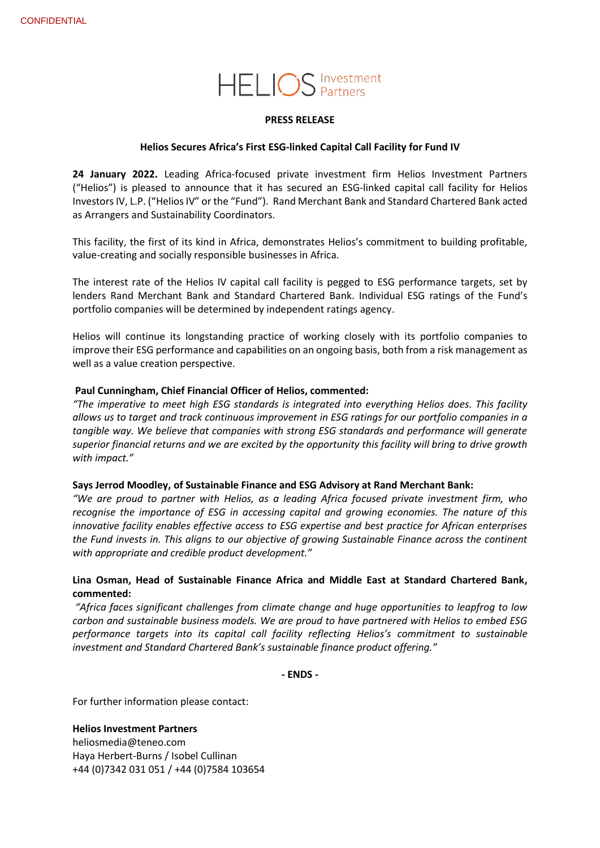# **HELIOS** Investment

#### **PRESS RELEASE**

#### **Helios Secures Africa's First ESG-linked Capital Call Facility for Fund IV**

**24 January 2022.** Leading Africa-focused private investment firm Helios Investment Partners ("Helios") is pleased to announce that it has secured an ESG-linked capital call facility for Helios Investors IV, L.P. ("Helios IV" or the "Fund"). Rand Merchant Bank and Standard Chartered Bank acted as Arrangers and Sustainability Coordinators.

This facility, the first of its kind in Africa, demonstrates Helios's commitment to building profitable, value-creating and socially responsible businesses in Africa.

The interest rate of the Helios IV capital call facility is pegged to ESG performance targets, set by lenders Rand Merchant Bank and Standard Chartered Bank. Individual ESG ratings of the Fund's portfolio companies will be determined by independent ratings agency.

Helios will continue its longstanding practice of working closely with its portfolio companies to improve their ESG performance and capabilities on an ongoing basis, both from a risk management as well as a value creation perspective.

## **Paul Cunningham, Chief Financial Officer of Helios, commented:**

*"The imperative to meet high ESG standards is integrated into everything Helios does. This facility allows us to target and track continuous improvement in ESG ratings for our portfolio companies in a tangible way. We believe that companies with strong ESG standards and performance will generate superior financial returns and we are excited by the opportunity this facility will bring to drive growth with impact."*

#### **Says Jerrod Moodley, of Sustainable Finance and ESG Advisory at Rand Merchant Bank:**

*"We are proud to partner with Helios, as a leading Africa focused private investment firm, who recognise the importance of ESG in accessing capital and growing economies. The nature of this innovative facility enables effective access to ESG expertise and best practice for African enterprises the Fund invests in. This aligns to our objective of growing Sustainable Finance across the continent with appropriate and credible product development."*

# **Lina Osman, Head of Sustainable Finance Africa and Middle East at Standard Chartered Bank, commented:**

*"Africa faces significant challenges from climate change and huge opportunities to leapfrog to low carbon and sustainable business models. We are proud to have partnered with Helios to embed ESG performance targets into its capital call facility reflecting Helios's commitment to sustainable investment and Standard Chartered Bank's sustainable finance product offering."*

**- ENDS -**

For further information please contact:

#### **Helios Investment Partners**

[heliosmedia@teneo.com](mailto:heliosmedia@teneo.com) Haya Herbert-Burns / Isobel Cullinan +44 (0)7342 031 051 / +44 (0)7584 103654